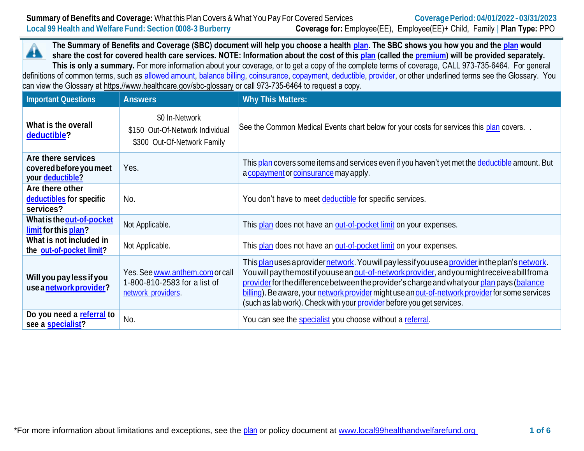**Summary of Benefits and Coverage:** What this Plan Covers & What You Pay For Covered Services **Coverage Period:** 04/01/2022 - 03/31/2023 **Local 99 Health and Welfare Fund: Section 0008-3 Burberry Coverage for:** Employee(EE), Employee(EE)+ Child, Family | **Plan Type:** PPO

**The Summary of Benefits and Coverage (SBC) document will help you choose a health [plan.](https://www.healthcare.gov/sbc-glossary/#plan) The SBC shows you how you and the [plan](https://www.healthcare.gov/sbc-glossary/#plan) would** ₳ **share the cost for covered health care services. NOTE: Information about the cost of this [plan](https://www.healthcare.gov/sbc-glossary/#plan) (called the [premium\)](https://www.healthcare.gov/sbc-glossary/#premium) will be provided separately. This is only a summary.** For more information about your coverage, or to get a copy of the complete terms of coverage, CALL 973-735-6464. For general definitions of common terms, such as [allowed amount,](https://www.healthcare.gov/sbc-glossary/#allowed-amount) [balance billing,](https://www.healthcare.gov/sbc-glossary/#balance-billing) [coinsurance,](https://www.healthcare.gov/sbc-glossary/#coinsurance) [copayment,](https://www.healthcare.gov/sbc-glossary/#copayment) [deductible,](https://www.healthcare.gov/sbc-glossary/#deductible) [provider,](https://www.healthcare.gov/sbc-glossary/#provider) or other underlined terms see the Glossary. You can view the Glossary at https.//www.healthcare.gov/sbc-glossary or call 973-735-6464 to request a copy.

| <b>Important Questions</b>                                        | <b>Answers</b>                                                                        | <b>Why This Matters:</b>                                                                                                                                                                                                                                                                                                                                                                                                                                                         |
|-------------------------------------------------------------------|---------------------------------------------------------------------------------------|----------------------------------------------------------------------------------------------------------------------------------------------------------------------------------------------------------------------------------------------------------------------------------------------------------------------------------------------------------------------------------------------------------------------------------------------------------------------------------|
| What is the overall<br>deductible?                                | \$0 In-Network<br>\$150 Out-Of-Network Individual<br>\$300 Out-Of-Network Family      | See the Common Medical Events chart below for your costs for services this plan covers                                                                                                                                                                                                                                                                                                                                                                                           |
| Are there services<br>covered before you meet<br>your deductible? | Yes.                                                                                  | This plan covers some items and services even if you haven't yet met the deductible amount. But<br>a copayment or coinsurance may apply.                                                                                                                                                                                                                                                                                                                                         |
| Are there other<br>deductibles for specific<br>services?          | No.                                                                                   | You don't have to meet deductible for specific services.                                                                                                                                                                                                                                                                                                                                                                                                                         |
| What is the out-of-pocket<br>limit for this plan?                 | Not Applicable.                                                                       | This plan does not have an out-of-pocket limit on your expenses.                                                                                                                                                                                                                                                                                                                                                                                                                 |
| What is not included in<br>the out-of-pocket limit?               | Not Applicable.                                                                       | This plan does not have an out-of-pocket limit on your expenses.                                                                                                                                                                                                                                                                                                                                                                                                                 |
| Will you pay less if you<br>use a network provider?               | Yes. See www.anthem.com or call<br>1-800-810-2583 for a list of<br>network providers. | This plan uses a provider network. You will pay less if you use a provider in the plan's network.<br>You will pay the most if you use an out-of-network provider, and you might receive a bill from a<br>provider for the difference between the provider's charge and what your plan pays (balance<br>billing). Be aware, your network provider might use an out-of-network provider for some services<br>(such as lab work). Check with your provider before you get services. |
| Do you need a referral to<br>see a specialist?                    | No.                                                                                   | You can see the specialist you choose without a referral.                                                                                                                                                                                                                                                                                                                                                                                                                        |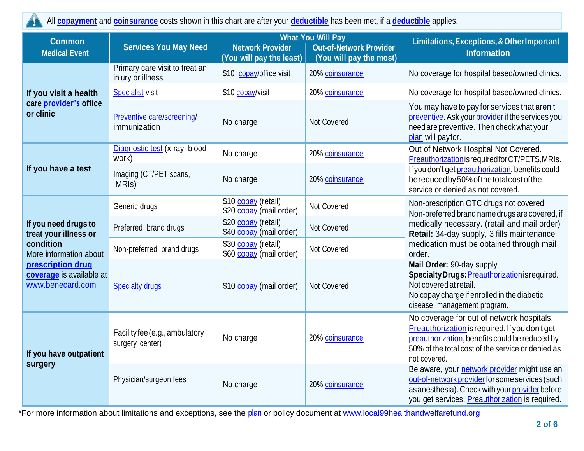All **[copayment](https://www.healthcare.gov/sbc-glossary/#copayment)** and **[coinsurance](https://www.healthcare.gov/sbc-glossary/#coinsurance)** costs shown in this chart are after your **[deductible](https://www.healthcare.gov/sbc-glossary/#deductible)** has been met, if a **[deductible](https://www.healthcare.gov/sbc-glossary/#deductible)** applies.

| <b>Common</b>                                                                                                                                             | <b>Services You May Need</b>                        | <b>What You Will Pay</b>                                  |                         | Limitations, Exceptions, & Other Important<br><b>Information</b>                                                                                                                                                                                                                                                                                                                                                                     |  |
|-----------------------------------------------------------------------------------------------------------------------------------------------------------|-----------------------------------------------------|-----------------------------------------------------------|-------------------------|--------------------------------------------------------------------------------------------------------------------------------------------------------------------------------------------------------------------------------------------------------------------------------------------------------------------------------------------------------------------------------------------------------------------------------------|--|
| <b>Medical Event</b>                                                                                                                                      |                                                     | <b>Network Provider</b><br><b>Out-of-Network Provider</b> |                         |                                                                                                                                                                                                                                                                                                                                                                                                                                      |  |
|                                                                                                                                                           |                                                     | (You will pay the least)                                  | (You will pay the most) |                                                                                                                                                                                                                                                                                                                                                                                                                                      |  |
| If you visit a health<br>care provider's office<br>or clinic                                                                                              | Primary care visit to treat an<br>injury or illness | \$10 copay/office visit                                   | 20% coinsurance         | No coverage for hospital based/owned clinics.                                                                                                                                                                                                                                                                                                                                                                                        |  |
|                                                                                                                                                           | <b>Specialist visit</b>                             | \$10 copay/visit                                          | 20% coinsurance         | No coverage for hospital based/owned clinics.                                                                                                                                                                                                                                                                                                                                                                                        |  |
|                                                                                                                                                           | Preventive care/screening/<br>immunization          | No charge                                                 | Not Covered             | You may have to pay for services that aren't<br>preventive. Ask your provider if the services you<br>need are preventive. Then check what your<br>plan will payfor.                                                                                                                                                                                                                                                                  |  |
|                                                                                                                                                           | Diagnostic test (x-ray, blood<br>work)              | No charge                                                 | 20% coinsurance         | Out of Network Hospital Not Covered.<br>Preauthorization is required for CT/PETS, MRIs.                                                                                                                                                                                                                                                                                                                                              |  |
| If you have a test                                                                                                                                        | Imaging (CT/PET scans,<br>MRI <sub>s</sub> )        | No charge                                                 | 20% coinsurance         | If you don't get preauthorization, benefits could<br>bereduced by 50% of the total cost of the<br>service or denied as not covered.                                                                                                                                                                                                                                                                                                  |  |
| If you need drugs to<br>treat your illness or<br>condition<br>More information about<br>prescription drug<br>coverage is available at<br>www.benecard.com | Generic drugs                                       | \$10 copay (retail)<br>\$20 copay (mail order)            | Not Covered             | Non-prescription OTC drugs not covered.<br>Non-preferred brand name drugs are covered, if<br>medically necessary. (retail and mail order)<br>Retail: 34-day supply, 3 fills maintenance<br>medication must be obtained through mail<br>order.<br>Mail Order: 90-day supply<br>Specialty Drugs: Preauthorization is required.<br>Not covered at retail.<br>No copay charge if enrolled in the diabetic<br>disease management program. |  |
|                                                                                                                                                           | Preferred brand drugs                               | \$20 copay (retail)<br>\$40 copay (mail order)            | Not Covered             |                                                                                                                                                                                                                                                                                                                                                                                                                                      |  |
|                                                                                                                                                           | Non-preferred brand drugs                           | \$30 copay (retail)<br>\$60 copay (mail order)            | Not Covered             |                                                                                                                                                                                                                                                                                                                                                                                                                                      |  |
|                                                                                                                                                           | <b>Specialty drugs</b>                              | \$10 copay (mail order)                                   | Not Covered             |                                                                                                                                                                                                                                                                                                                                                                                                                                      |  |
| If you have outpatient<br>surgery                                                                                                                         | Facility fee (e.g., ambulatory<br>surgery center)   | No charge                                                 | 20% coinsurance         | No coverage for out of network hospitals.<br>Preauthorization is required. If you don't get<br>preauthorization, benefits could be reduced by<br>50% of the total cost of the service or denied as<br>not covered.                                                                                                                                                                                                                   |  |
|                                                                                                                                                           | Physician/surgeon fees                              | No charge                                                 | 20% coinsurance         | Be aware, your network provider might use an<br>out-of-network provider for some services (such<br>as anesthesia). Check with your provider before<br>you get services. Preauthorization is required.                                                                                                                                                                                                                                |  |

\*For more information about limitations and exceptions, see the [plan](https://www.healthcare.gov/sbc-glossary/#plan) or policy document at [www.local99healthandwelfarefund.org](http://www.local99healthandwelfarefund.org/)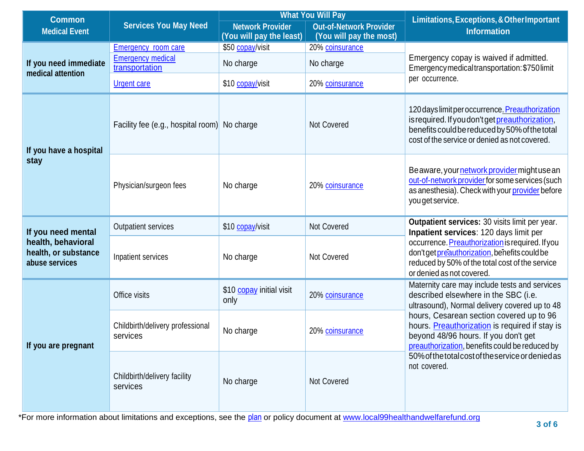| <b>Common</b>                                                |                                              | <b>What You Will Pay</b>                            |                                                           | Limitations, Exceptions, & Other Important                                                                                                                                                           |  |
|--------------------------------------------------------------|----------------------------------------------|-----------------------------------------------------|-----------------------------------------------------------|------------------------------------------------------------------------------------------------------------------------------------------------------------------------------------------------------|--|
| <b>Medical Event</b>                                         | <b>Services You May Need</b>                 | <b>Network Provider</b><br>(You will pay the least) | <b>Out-of-Network Provider</b><br>(You will pay the most) | <b>Information</b>                                                                                                                                                                                   |  |
| If you need immediate<br>medical attention                   | Emergency room care                          | \$50 copay/visit                                    | 20% coinsurance                                           |                                                                                                                                                                                                      |  |
|                                                              | <b>Emergency medical</b><br>transportation   | No charge                                           | No charge                                                 | Emergency copay is waived if admitted.<br>Emergency medical transportation: \$750 limit                                                                                                              |  |
|                                                              | <b>Urgent care</b>                           | \$10 copay/visit                                    | 20% coinsurance                                           | per occurrence.                                                                                                                                                                                      |  |
| If you have a hospital<br>stay                               | Facility fee (e.g., hospital room) No charge |                                                     | Not Covered                                               | 120 days limit per occurrence. Preauthorization<br>is required. If you don't get preauthorization,<br>benefits could be reduced by 50% of the total<br>cost of the service or denied as not covered. |  |
|                                                              | Physician/surgeon fees                       | No charge                                           | 20% coinsurance                                           | Beaware, your network provider might usean<br>out-of-network provider for some services (such<br>as anesthesia). Check with your provider before<br>you get service.                                 |  |
| If you need mental                                           | <b>Outpatient services</b>                   | \$10 copay/visit                                    | <b>Not Covered</b>                                        | Outpatient services: 30 visits limit per year.<br>Inpatient services: 120 days limit per                                                                                                             |  |
| health, behavioral<br>health, or substance<br>abuse services | Inpatient services                           | No charge                                           | <b>Not Covered</b>                                        | occurrence. Preauthorization is required. If you<br>don't get preauthorization, benefits could be<br>reduced by 50% of the total cost of the service<br>or denied as not covered.                    |  |
| If you are pregnant                                          | Office visits                                | \$10 copay initial visit<br>only                    | 20% coinsurance                                           | Maternity care may include tests and services<br>described elsewhere in the SBC (i.e.<br>ultrasound), Normal delivery covered up to 48                                                               |  |
|                                                              | Childbirth/delivery professional<br>services | No charge                                           | 20% coinsurance                                           | hours, Cesarean section covered up to 96<br>hours. Preauthorization is required if stay is<br>beyond 48/96 hours. If you don't get<br>preauthorization, benefits could be reduced by                 |  |
|                                                              | Childbirth/delivery facility<br>services     | No charge                                           | Not Covered                                               | 50% of the total cost of the service or denied as<br>not covered.                                                                                                                                    |  |

\*For more information about limitations and exceptions, see the [plan](https://www.healthcare.gov/sbc-glossary/#plan) or policy document at [www.local99healthandwelfarefund.org](http://www.local99healthandwelfarefund.org/)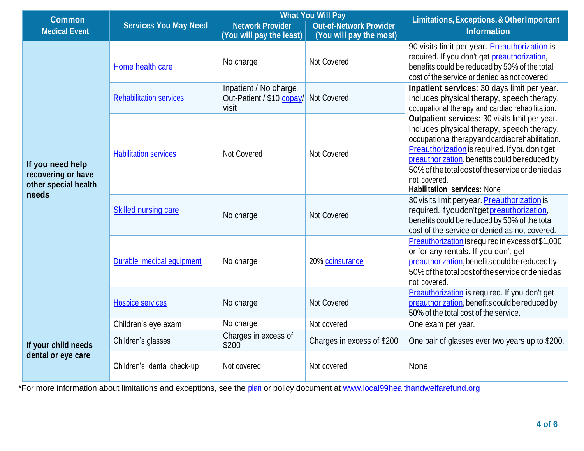| <b>Common</b>                                                           | <b>Services You May Need</b>   | <b>What You Will Pay</b>                                    |                            | Limitations, Exceptions, & Other Important<br><b>Information</b>                                                                                                                                                                                                                                                                                                |  |
|-------------------------------------------------------------------------|--------------------------------|-------------------------------------------------------------|----------------------------|-----------------------------------------------------------------------------------------------------------------------------------------------------------------------------------------------------------------------------------------------------------------------------------------------------------------------------------------------------------------|--|
| <b>Medical Event</b>                                                    |                                | <b>Out-of-Network Provider</b><br><b>Network Provider</b>   |                            |                                                                                                                                                                                                                                                                                                                                                                 |  |
|                                                                         |                                | (You will pay the least)                                    | (You will pay the most)    |                                                                                                                                                                                                                                                                                                                                                                 |  |
| If you need help<br>recovering or have<br>other special health<br>needs | Home health care               | No charge                                                   | Not Covered                | 90 visits limit per year. Preauthorization is<br>required. If you don't get preauthorization,<br>benefits could be reduced by 50% of the total<br>cost of the service or denied as not covered.                                                                                                                                                                 |  |
|                                                                         | <b>Rehabilitation services</b> | Inpatient / No charge<br>Out-Patient / \$10 copay/<br>visit | Not Covered                | Inpatient services: 30 days limit per year.<br>Includes physical therapy, speech therapy,<br>occupational therapy and cardiac rehabilitation.                                                                                                                                                                                                                   |  |
|                                                                         | <b>Habilitation services</b>   | Not Covered                                                 | Not Covered                | Outpatient services: 30 visits limit per year.<br>Includes physical therapy, speech therapy,<br>occupational therapy and cardiac rehabilitation.<br>Preauthorization is required. If you don't get<br>preauthorization, benefits could be reduced by<br>50% of the total cost of the service or denied as<br>not covered.<br><b>Habilitation services: None</b> |  |
|                                                                         | <b>Skilled nursing care</b>    | No charge                                                   | Not Covered                | 30 visits limit per year. Preauthorization is<br>required. If you don't get preauthorization,<br>benefits could be reduced by 50% of the total<br>cost of the service or denied as not covered.                                                                                                                                                                 |  |
|                                                                         | Durable medical equipment      | No charge                                                   | 20% coinsurance            | Preauthorization is required in excess of \$1,000<br>or for any rentals. If you don't get<br>preauthorization, benefits could be reduced by<br>50% of the total cost of the service or denied as<br>not covered.                                                                                                                                                |  |
|                                                                         | <b>Hospice services</b>        | No charge                                                   | Not Covered                | Preauthorization is required. If you don't get<br>preauthorization, benefits could be reduced by<br>50% of the total cost of the service.                                                                                                                                                                                                                       |  |
| If your child needs<br>dental or eye care                               | Children's eye exam            | No charge                                                   | Not covered                | One exam per year.                                                                                                                                                                                                                                                                                                                                              |  |
|                                                                         | Children's glasses             | Charges in excess of<br>\$200                               | Charges in excess of \$200 | One pair of glasses ever two years up to \$200.                                                                                                                                                                                                                                                                                                                 |  |
|                                                                         | Children's dental check-up     | Not covered                                                 | Not covered                | None                                                                                                                                                                                                                                                                                                                                                            |  |

\*For more information about limitations and exceptions, see the [plan](https://www.healthcare.gov/sbc-glossary/#plan) or policy document at [www.local99healthandwelfarefund.org](http://www.local99healthandwelfarefund.org/)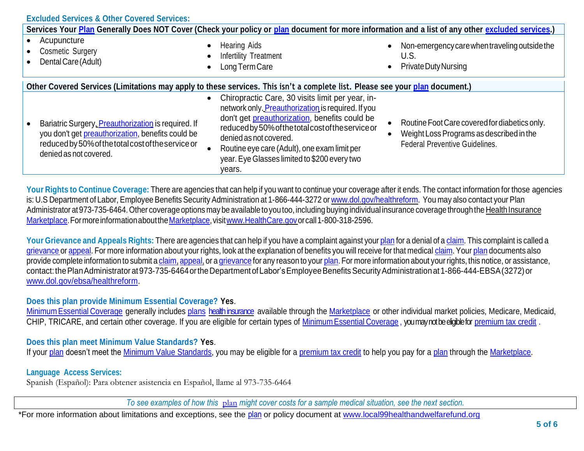|                                                                                                                                                                                          | Services Your Plan Generally Does NOT Cover (Check your policy or plan document for more information and a list of any other excluded services.)                                                                                                                                                                                                     |                                                                                                                                    |
|------------------------------------------------------------------------------------------------------------------------------------------------------------------------------------------|------------------------------------------------------------------------------------------------------------------------------------------------------------------------------------------------------------------------------------------------------------------------------------------------------------------------------------------------------|------------------------------------------------------------------------------------------------------------------------------------|
| Acupuncture<br><b>Cosmetic Surgery</b><br>Dental Care (Adult)                                                                                                                            | <b>Hearing Aids</b><br>$\bullet$<br><b>Infertility Treatment</b><br>$\bullet$<br>Long Term Care<br>$\bullet$                                                                                                                                                                                                                                         | Non-emergency care when traveling outside the<br>$\bullet$<br>U.S.<br>Private Duty Nursing<br>$\bullet$                            |
|                                                                                                                                                                                          | Other Covered Services (Limitations may apply to these services. This isn't a complete list. Please see your plan document.)                                                                                                                                                                                                                         |                                                                                                                                    |
| Bariatric Surgery, Preauthorization is required. If<br>you don't get preauthorization, benefits could be<br>reduced by 50% of the total cost of the service or<br>denied as not covered. | Chiropractic Care, 30 visits limit per year, in-<br>$\bullet$<br>network only. Preauthorization is required. If you<br>don't get preauthorization, benefits could be<br>reduced by 50% of the total cost of the service or<br>denied as not covered.<br>Routine eye care (Adult), one exam limit per<br>year. Eye Glasses limited to \$200 every two | Routine Foot Care covered for diabetics only.<br>Weight Loss Programs as described in the<br><b>Federal Preventive Guidelines.</b> |

**Your Rights to Continue Coverage:** There are agencies that can help if you want to continue your coverage after it ends. The contact information for those agencies is: U.S Department of Labor, Employee Benefits Security Administration at 1-866-444-3272 or [www.dol.gov/healthreform.](http://www.dol.gov/healthreform) You may also contact your Plan Administrator at 973-735-6464. Other coverage options may be available to you too, including buying individual insurance coverage through the Health Insurance Marketplace. For more information about the Marketplace, visit www.HealthCare.gov or call 1-800-318-2596.

Your Grievance and Appeals Rights: There are agencies that can help if you have a complaint against your [plan](https://www.healthcare.gov/sbc-glossary/#plan) for a denial of a [claim.](https://www.healthcare.gov/sbc-glossary/#claim) This complaint is called a [grievance](https://www.healthcare.gov/sbc-glossary/#grievance) or [appeal.](https://www.healthcare.gov/sbc-glossary/#appeal) For more information about your rights, look at the explanation of benefits you will receive for that medical [claim.](https://www.healthcare.gov/sbc-glossary/#claim) Your [plan](https://www.healthcare.gov/sbc-glossary/#plan) documents also provide complete information to submit a [claim,](https://www.healthcare.gov/sbc-glossary/#claim) [appeal,](https://www.healthcare.gov/sbc-glossary/#appeal) or a [grievance](https://www.healthcare.gov/sbc-glossary/#grievance) for any reason to your [plan.](https://www.healthcare.gov/sbc-glossary/#plan) For more information about your rights, this notice, or assistance, contact: the Plan Administrator at 973-735-6464 or the Department of Labor's Employee Benefits Security Administration at 1-866-444-EBSA (3272) or [www.dol.gov/ebsa/healthreform.](http://www.dol.gov/ebsa/healthreform)

## **Does this plan provide Minimum Essential Coverage? Yes**.

Minimum Essential [Coverage](https://www.healthcare.gov/sbc-glossary/#minimum-essential-coverage) generally includes [plans](https://www.healthcare.gov/sbc-glossary/#plan) health insurance available through the [Marketplace](https://www.healthcare.gov/sbc-glossary/#plan) or other individual market policies, Medicare, Medicaid, CHIP, TRICARE, and certain other coverage. If you are eligible for certain types of Minimum Essential [Coverage](https://www.healthcare.gov/sbc-glossary/#minimum-essential-coverage) , you may not be eligible for [premium tax credit](https://www.healthcare.gov/sbc-glossary/#premium-tax-credits) .

## **Does this plan meet Minimum Value Standards? Yes**.

If your [plan](https://www.healthcare.gov/sbc-glossary/#plan) doesn't meet the [Minimum Value Standards, y](https://www.healthcare.gov/sbc-glossary/#minimum-value-standard)ou may be eligible for a [premium tax credit](https://www.healthcare.gov/sbc-glossary/#premium-tax-credits) to help you pay for a plan through the [Marketplace.](https://www.healthcare.gov/sbc-glossary/#marketplace)

## **Language Access Services:**

Spanish (Español): Para obtener asistencia en Español, llame al 973-735-6464

*To see examples of how this* [plan](https://www.healthcare.gov/sbc-glossary/#plan) *might cover costs for a sample medical situation, see the next section.*

\*For more information about limitations and exceptions, see the [plan](https://www.healthcare.gov/sbc-glossary/#plan) or policy document at [www.local99healthandwelfarefund.org](http://www.local99healthandwelfarefund.org/)

years.